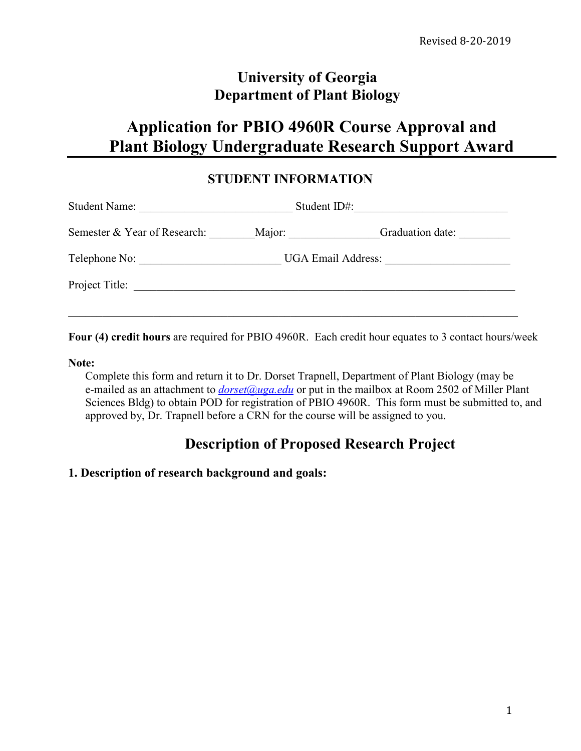# **University of Georgia Department of Plant Biology**

# **Application for PBIO 4960R Course Approval and Plant Biology Undergraduate Research Support Award**

### **STUDENT INFORMATION**

| <b>Student Name:</b>         | Student ID#:              |                  |
|------------------------------|---------------------------|------------------|
| Semester & Year of Research: |                           | Graduation date: |
| Telephone No:                | <b>UGA Email Address:</b> |                  |
| Project Title:               |                           |                  |
|                              |                           |                  |

**Four (4) credit hours** are required for PBIO 4960R. Each credit hour equates to 3 contact hours/week

#### **Note:**

Complete this form and return it to Dr. Dorset Trapnell, Department of Plant Biology (may be e-mailed as an attachment to *[dorset@uga.edu](mailto:dorset@uga.edu)* or put in the mailbox at Room 2502 of Miller Plant Sciences Bldg) to obtain POD for registration of PBIO 4960R. This form must be submitted to, and approved by, Dr. Trapnell before a CRN for the course will be assigned to you.

# **Description of Proposed Research Project**

### **1. Description of research background and goals:**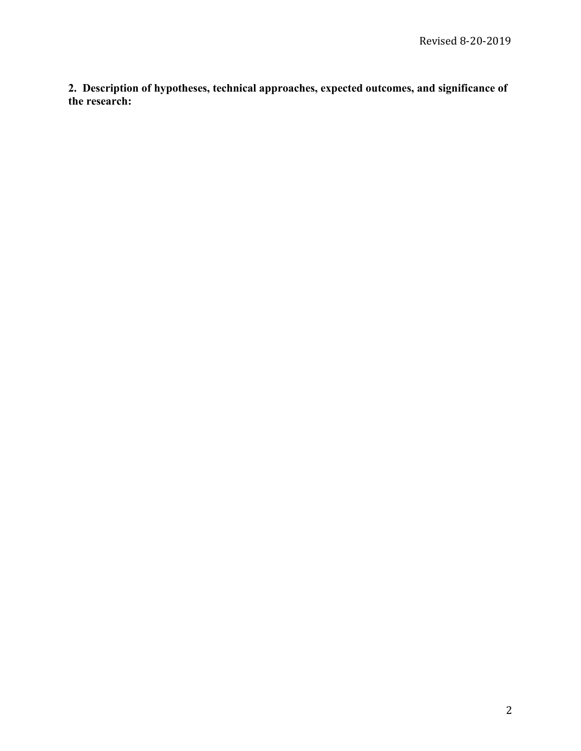**2. Description of hypotheses, technical approaches, expected outcomes, and significance of the research:**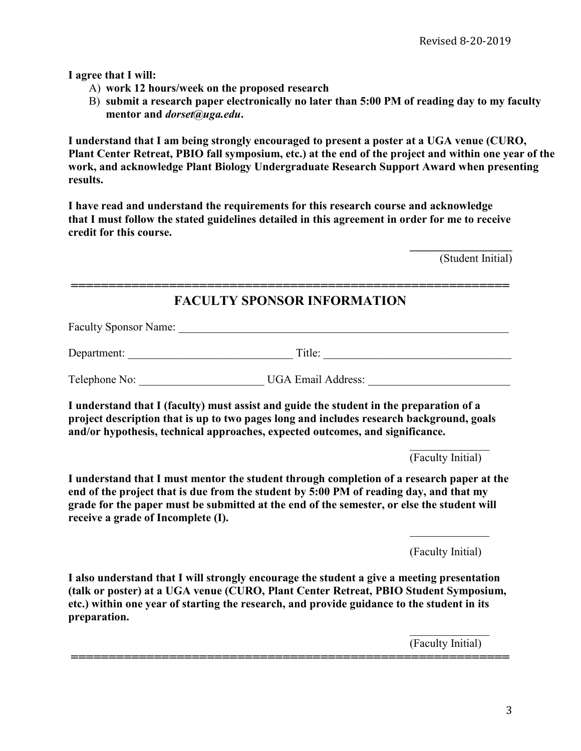**I agree that I will:**

- A) **work 12 hours/week on the proposed research**
- B) **submit a research paper electronically no later than 5:00 PM of reading day to my faculty mentor and** *dorset@uga.edu***.**

**I understand that I am being strongly encouraged to present a poster at a UGA venue (CURO, Plant Center Retreat, PBIO fall symposium, etc.) at the end of the project and within one year of the work, and acknowledge Plant Biology Undergraduate Research Support Award when presenting results.**

**I have read and understand the requirements for this research course and acknowledge that I must follow the stated guidelines detailed in this agreement in order for me to receive credit for this course.** 

> **\_\_\_\_\_\_\_\_\_\_\_\_\_\_\_\_\_\_** (Student Initial)

### **========================================================== FACULTY SPONSOR INFORMATION**

Faculty Sponsor Name: \_\_\_\_\_\_\_\_\_\_\_\_\_\_\_\_\_\_\_\_\_\_\_\_\_\_\_\_\_\_\_\_\_\_\_\_\_\_\_\_\_\_\_\_\_\_\_\_\_\_\_\_\_\_\_\_\_\_

Department: \_\_\_\_\_\_\_\_\_\_\_\_\_\_\_\_\_\_\_\_\_\_\_\_\_\_\_\_\_ Title: \_\_\_\_\_\_\_\_\_\_\_\_\_\_\_\_\_\_\_\_\_\_\_\_\_\_\_\_\_\_\_\_\_

Telephone No: \_\_\_\_\_\_\_\_\_\_\_\_\_\_\_\_\_\_\_\_\_\_ UGA Email Address: \_\_\_\_\_\_\_\_\_\_\_\_\_\_\_\_\_\_\_\_\_\_\_\_\_

**I understand that I (faculty) must assist and guide the student in the preparation of a project description that is up to two pages long and includes research background, goals and/or hypothesis, technical approaches, expected outcomes, and significance.** 

(Faculty Initial)

**I understand that I must mentor the student through completion of a research paper at the end of the project that is due from the student by 5:00 PM of reading day, and that my grade for the paper must be submitted at the end of the semester, or else the student will receive a grade of Incomplete (I).** 

(Faculty Initial)

**I also understand that I will strongly encourage the student a give a meeting presentation (talk or poster) at a UGA venue (CURO, Plant Center Retreat, PBIO Student Symposium, etc.) within one year of starting the research, and provide guidance to the student in its preparation.** 

**==========================================================**

 $\mathcal{L}_\text{max}$  . The set of the set of the set of the set of the set of the set of the set of the set of the set of the set of the set of the set of the set of the set of the set of the set of the set of the set of the set (Faculty Initial)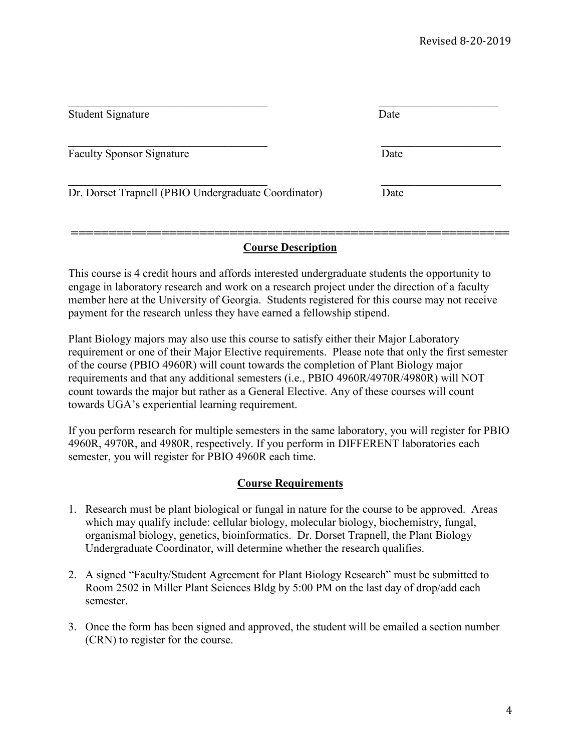| Student Signature                                    | Date |  |
|------------------------------------------------------|------|--|
| <b>Faculty Sponsor Signature</b>                     | Date |  |
| Dr. Dorset Trapnell (PBIO Undergraduate Coordinator) | Date |  |

#### **========================================================== Course Description**

This course is 4 credit hours and affords interested undergraduate students the opportunity to engage in laboratory research and work on a research project under the direction of a faculty member here at the University of Georgia. Students registered for this course may not receive payment for the research unless they have earned a fellowship stipend.

Plant Biology majors may also use this course to satisfy either their Major Laboratory requirement or one of their Major Elective requirements. Please note that only the first semester of the course (PBIO 4960R) will count towards the completion of Plant Biology major requirements and that any additional semesters (i.e., PBIO 4960R/4970R/4980R) will NOT count towards the major but rather as a General Elective. Any of these courses will count towards UGA's experiential learning requirement.

If you perform research for multiple semesters in the same laboratory, you will register for PBIO 4960R, 4970R, and 4980R, respectively. If you perform in DIFFERENT laboratories each semester, you will register for PBIO 4960R each time.

#### **Course Requirements**

- 1. Research must be plant biological or fungal in nature for the course to be approved. Areas which may qualify include: cellular biology, molecular biology, biochemistry, fungal, organismal biology, genetics, bioinformatics. Dr. Dorset Trapnell, the Plant Biology Undergraduate Coordinator, will determine whether the research qualifies.
- 2. A signed "Faculty/Student Agreement for Plant Biology Research" must be submitted to Room 2502 in Miller Plant Sciences Bldg by 5:00 PM on the last day of drop/add each semester.
- 3. Once the form has been signed and approved, the student will be emailed a section number (CRN) to register for the course.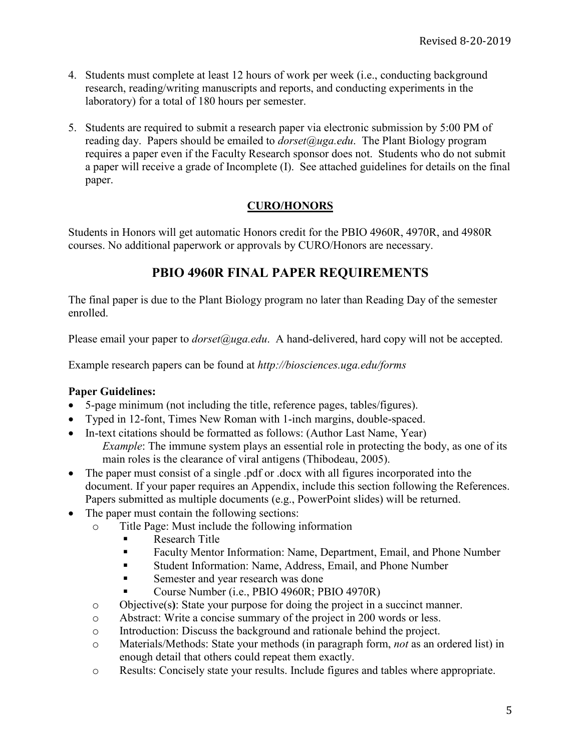- 4. Students must complete at least 12 hours of work per week (i.e., conducting background research, reading/writing manuscripts and reports, and conducting experiments in the laboratory) for a total of 180 hours per semester.
- 5. Students are required to submit a research paper via electronic submission by 5:00 PM of reading day. Papers should be emailed to *dorset@uga.edu*. The Plant Biology program requires a paper even if the Faculty Research sponsor does not. Students who do not submit a paper will receive a grade of Incomplete (I). See attached guidelines for details on the final paper.

### **CURO/HONORS**

Students in Honors will get automatic Honors credit for the PBIO 4960R, 4970R, and 4980R courses. No additional paperwork or approvals by CURO/Honors are necessary.

## **PBIO 4960R FINAL PAPER REQUIREMENTS**

The final paper is due to the Plant Biology program no later than Reading Day of the semester enrolled.

Please email your paper to *dorset@uga.edu*. A hand-delivered, hard copy will not be accepted.

Example research papers can be found at *http://biosciences.uga.edu/forms*

#### **Paper Guidelines:**

- 5-page minimum (not including the title, reference pages, tables/figures).
- Typed in 12-font, Times New Roman with 1-inch margins, double-spaced.
- In-text citations should be formatted as follows: (Author Last Name, Year) *Example*: The immune system plays an essential role in protecting the body, as one of its main roles is the clearance of viral antigens (Thibodeau, 2005).
- The paper must consist of a single .pdf or .docx with all figures incorporated into the document. If your paper requires an Appendix, include this section following the References. Papers submitted as multiple documents (e.g., PowerPoint slides) will be returned.
- The paper must contain the following sections:
	- o Title Page: Must include the following information
		- Research Title
		- **Faculty Mentor Information: Name, Department, Email, and Phone Number**
		- Student Information: Name, Address, Email, and Phone Number
		- Semester and year research was done
		- Course Number (i.e., PBIO 4960R; PBIO 4970R)
	- o Objective(s**)**: State your purpose for doing the project in a succinct manner.
	- o Abstract: Write a concise summary of the project in 200 words or less.
	- o Introduction: Discuss the background and rationale behind the project.
	- o Materials/Methods: State your methods (in paragraph form, *not* as an ordered list) in enough detail that others could repeat them exactly.
	- o Results: Concisely state your results. Include figures and tables where appropriate.